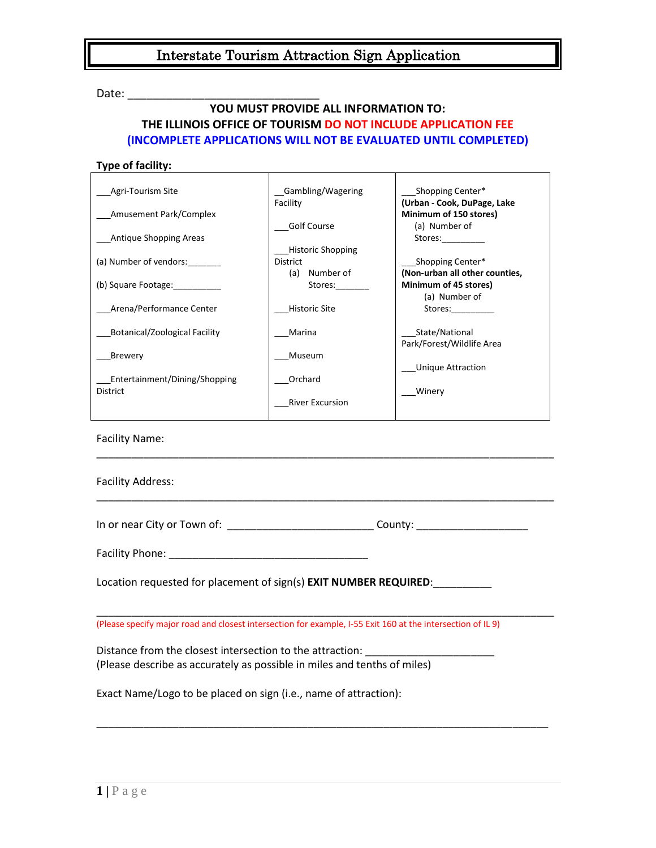Date: \_\_\_\_\_\_\_\_\_\_\_\_\_\_\_\_\_\_\_\_\_\_\_\_\_\_\_\_\_\_

## **YOU MUST PROVIDE ALL INFORMATION TO: THE ILLINOIS OFFICE OF TOURISM DO NOT INCLUDE APPLICATION FEE (INCOMPLETE APPLICATIONS WILL NOT BE EVALUATED UNTIL COMPLETED)**

### **Type of facility:**

| Agri-Tourism Site                                | Gambling/Wagering                       | Shopping Center*                                                                                                                                                                                                               |
|--------------------------------------------------|-----------------------------------------|--------------------------------------------------------------------------------------------------------------------------------------------------------------------------------------------------------------------------------|
| Amusement Park/Complex                           | Facility                                | (Urban - Cook, DuPage, Lake<br>Minimum of 150 stores)                                                                                                                                                                          |
| Antique Shopping Areas                           | Golf Course<br><b>Historic Shopping</b> | (a) Number of<br>Stores:                                                                                                                                                                                                       |
| (a) Number of vendors:                           | District<br>Number of<br>(a)            | Shopping Center*<br>(Non-urban all other counties,                                                                                                                                                                             |
| (b) Square Footage:                              | Stores:                                 | Minimum of 45 stores)<br>(a) Number of                                                                                                                                                                                         |
| Arena/Performance Center                         | <b>Historic Site</b>                    | Stores: and the state of the state of the state of the state of the state of the state of the state of the state of the state of the state of the state of the state of the state of the state of the state of the state of th |
| <b>Botanical/Zoological Facility</b>             | Marina                                  | State/National<br>Park/Forest/Wildlife Area                                                                                                                                                                                    |
| Brewery                                          | Museum                                  | <b>Unique Attraction</b>                                                                                                                                                                                                       |
| Entertainment/Dining/Shopping<br><b>District</b> | Orchard                                 | Winery                                                                                                                                                                                                                         |
|                                                  | <b>River Excursion</b>                  |                                                                                                                                                                                                                                |

Facility Name:

| <b>Facility Address:</b>                                                                                                                                     |  |  |
|--------------------------------------------------------------------------------------------------------------------------------------------------------------|--|--|
| In or near City or Town of: ________________________________County: ________________________________                                                         |  |  |
|                                                                                                                                                              |  |  |
| Location requested for placement of sign(s) <b>EXIT NUMBER REQUIRED</b> :                                                                                    |  |  |
| (Please specify major road and closest intersection for example, I-55 Exit 160 at the intersection of IL 9)                                                  |  |  |
| Distance from the closest intersection to the attraction: ______________________<br>(Please describe as accurately as possible in miles and tenths of miles) |  |  |
| Exact Name/Logo to be placed on sign (i.e., name of attraction):                                                                                             |  |  |

\_\_\_\_\_\_\_\_\_\_\_\_\_\_\_\_\_\_\_\_\_\_\_\_\_\_\_\_\_\_\_\_\_\_\_\_\_\_\_\_\_\_\_\_\_\_\_\_\_\_\_\_\_\_\_\_\_\_\_\_\_\_\_\_\_\_\_\_\_\_\_\_\_\_\_\_\_

\_\_\_\_\_\_\_\_\_\_\_\_\_\_\_\_\_\_\_\_\_\_\_\_\_\_\_\_\_\_\_\_\_\_\_\_\_\_\_\_\_\_\_\_\_\_\_\_\_\_\_\_\_\_\_\_\_\_\_\_\_\_\_\_\_\_\_\_\_\_\_\_\_\_\_\_\_\_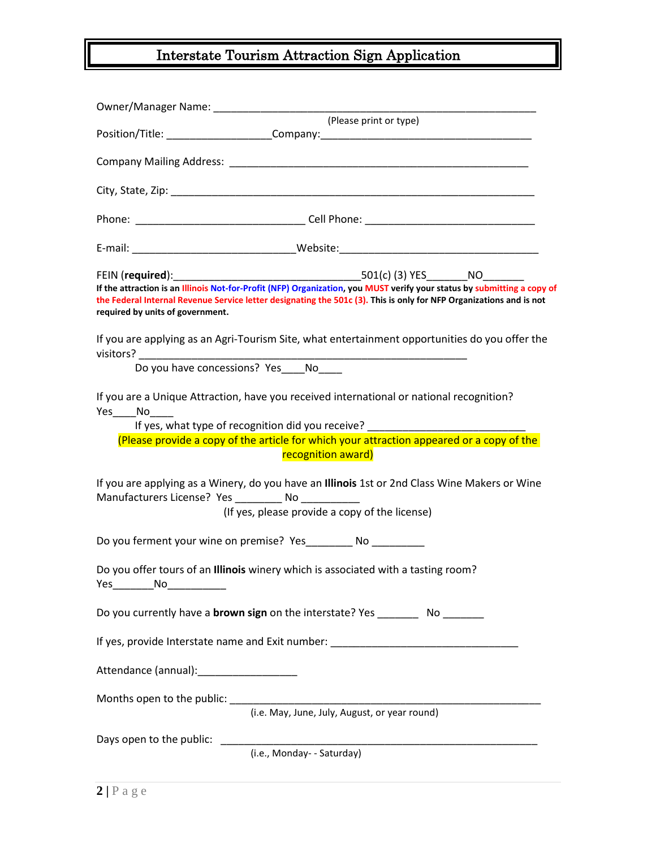|                                                                                                                                                                                                                                                                                    | (Please print or type)<br>Position/Title: ______________________Company: _________________________________                                                                                                                                                                                      |  |  |  |
|------------------------------------------------------------------------------------------------------------------------------------------------------------------------------------------------------------------------------------------------------------------------------------|-------------------------------------------------------------------------------------------------------------------------------------------------------------------------------------------------------------------------------------------------------------------------------------------------|--|--|--|
|                                                                                                                                                                                                                                                                                    |                                                                                                                                                                                                                                                                                                 |  |  |  |
|                                                                                                                                                                                                                                                                                    |                                                                                                                                                                                                                                                                                                 |  |  |  |
|                                                                                                                                                                                                                                                                                    |                                                                                                                                                                                                                                                                                                 |  |  |  |
|                                                                                                                                                                                                                                                                                    |                                                                                                                                                                                                                                                                                                 |  |  |  |
| If the attraction is an Illinois Not-for-Profit (NFP) Organization, you MUST verify your status by submitting a copy of<br>the Federal Internal Revenue Service letter designating the 501c (3). This is only for NFP Organizations and is not<br>required by units of government. |                                                                                                                                                                                                                                                                                                 |  |  |  |
|                                                                                                                                                                                                                                                                                    | If you are applying as an Agri-Tourism Site, what entertainment opportunities do you offer the                                                                                                                                                                                                  |  |  |  |
|                                                                                                                                                                                                                                                                                    | Do you have concessions? Yes No                                                                                                                                                                                                                                                                 |  |  |  |
| $Yes$ No                                                                                                                                                                                                                                                                           | If you are a Unique Attraction, have you received international or national recognition?<br>If yes, what type of recognition did you receive? ______________________________<br>(Please provide a copy of the article for which your attraction appeared or a copy of the<br>recognition award) |  |  |  |
|                                                                                                                                                                                                                                                                                    | If you are applying as a Winery, do you have an Illinois 1st or 2nd Class Wine Makers or Wine<br>Manufacturers License? Yes __________ No __________<br>(If yes, please provide a copy of the license)                                                                                          |  |  |  |
|                                                                                                                                                                                                                                                                                    | Do you ferment your wine on premise? Yes_________ No ________                                                                                                                                                                                                                                   |  |  |  |
| No<br><b>Yes</b>                                                                                                                                                                                                                                                                   | Do you offer tours of an Illinois winery which is associated with a tasting room?                                                                                                                                                                                                               |  |  |  |
|                                                                                                                                                                                                                                                                                    | Do you currently have a <b>brown sign</b> on the interstate? Yes ___________ No ________                                                                                                                                                                                                        |  |  |  |
|                                                                                                                                                                                                                                                                                    | If yes, provide Interstate name and Exit number: ________________________________                                                                                                                                                                                                               |  |  |  |
| Attendance (annual):___________________                                                                                                                                                                                                                                            |                                                                                                                                                                                                                                                                                                 |  |  |  |
|                                                                                                                                                                                                                                                                                    | (i.e. May, June, July, August, or year round)                                                                                                                                                                                                                                                   |  |  |  |
| Days open to the public:                                                                                                                                                                                                                                                           | (i.e., Monday- - Saturday)                                                                                                                                                                                                                                                                      |  |  |  |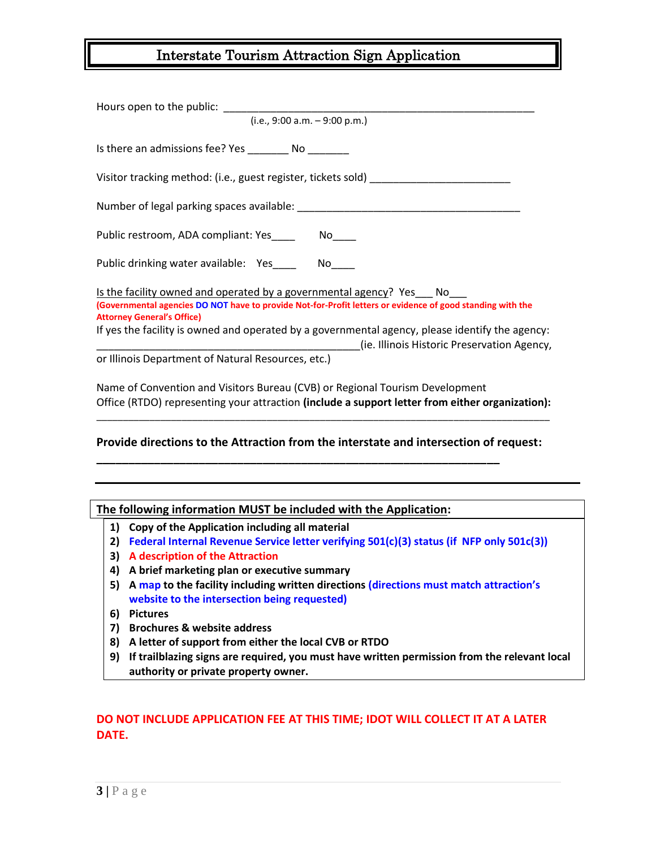| $(i.e., 9:00 a.m. - 9:00 p.m.)$                                                                                                                                                                                        |
|------------------------------------------------------------------------------------------------------------------------------------------------------------------------------------------------------------------------|
| Is there an admissions fee? Yes ___________ No _________                                                                                                                                                               |
| Visitor tracking method: (i.e., guest register, tickets sold)                                                                                                                                                          |
|                                                                                                                                                                                                                        |
|                                                                                                                                                                                                                        |
| Public drinking water available: Yes_____ No____                                                                                                                                                                       |
| Is the facility owned and operated by a governmental agency? Yes No<br>(Governmental agencies DO NOT have to provide Not-for-Profit letters or evidence of good standing with the<br><b>Attorney General's Office)</b> |
| If yes the facility is owned and operated by a governmental agency, please identify the agency:<br>(ie. Illinois Historic Preservation Agency,                                                                         |
| or Illinois Department of Natural Resources, etc.)                                                                                                                                                                     |
| Name of Convention and Visitors Bureau (CVB) or Regional Tourism Development<br>Office (RTDO) representing your attraction (include a support letter from either organization):                                        |

### **Provide directions to the Attraction from the interstate and intersection of request:**

**\_\_\_\_\_\_\_\_\_\_\_\_\_\_\_\_\_\_\_\_\_\_\_\_\_\_\_\_\_\_\_\_\_\_\_\_\_\_\_\_\_\_\_\_\_\_\_\_\_\_\_\_\_\_\_\_\_\_\_\_\_\_\_**

\_\_\_\_\_\_\_\_\_\_\_\_\_\_\_\_\_\_\_\_\_\_\_\_\_\_\_\_\_\_\_\_\_\_\_\_\_\_\_\_\_\_\_\_\_\_\_\_\_\_\_\_\_\_\_\_\_\_\_\_\_\_\_\_\_\_\_\_\_\_\_\_\_\_\_\_\_\_\_\_\_\_\_\_\_

#### **The following information MUST be included with the Application:**

- **1) Copy of the Application including all material**
- **2) Federal Internal Revenue Service letter verifying 501(c)(3) status (if NFP only 501c(3))**
- **3) A description of the Attraction**
- **4) A brief marketing plan or executive summary**
- **5) A map to the facility including written directions (directions must match attraction's website to the intersection being requested)**
- **6) Pictures**
- **7) Brochures & website address**
- **8) A letter of support from either the local CVB or RTDO**
- **9) If trailblazing signs are required, you must have written permission from the relevant local authority or private property owner.**

## **DO NOT INCLUDE APPLICATION FEE AT THIS TIME; IDOT WILL COLLECT IT AT A LATER DATE.**